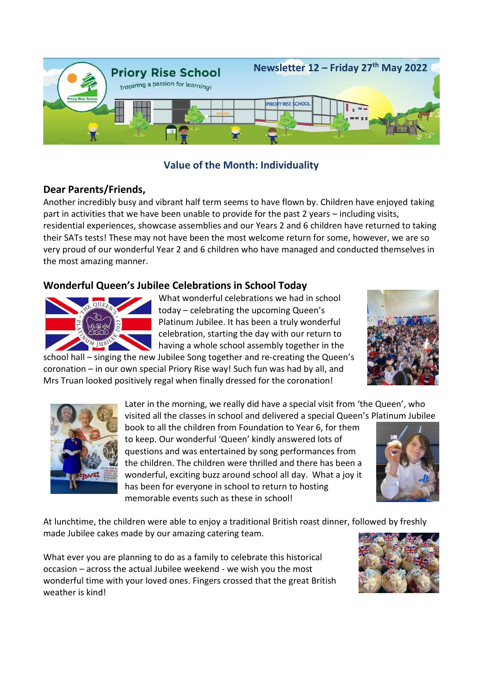

# **Value of the Month: Individuality**

# **Dear Parents/Friends,**

Another incredibly busy and vibrant half term seems to have flown by. Children have enjoyed taking part in activities that we have been unable to provide for the past 2 years – including visits, residential experiences, showcase assemblies and our Years 2 and 6 children have returned to taking their SATs tests! These may not have been the most welcome return for some, however, we are so very proud of our wonderful Year 2 and 6 children who have managed and conducted themselves in the most amazing manner.

# **Wonderful Queen's Jubilee Celebrations in School Today**



What wonderful celebrations we had in school today – celebrating the upcoming Queen's Platinum Jubilee. It has been a truly wonderful celebration, starting the day with our return to having a whole school assembly together in the

school hall – singing the new Jubilee Song together and re-creating the Queen's coronation – in our own special Priory Rise way! Such fun was had by all, and Mrs Truan looked positively regal when finally dressed for the coronation!



Later in the morning, we really did have a special visit from 'the Queen', who visited all the classes in school and delivered a special Queen's Platinum Jubilee

book to all the children from Foundation to Year 6, for them to keep. Our wonderful 'Queen' kindly answered lots of questions and was entertained by song performances from the children. The children were thrilled and there has been a wonderful, exciting buzz around school all day. What a joy it has been for everyone in school to return to hosting memorable events such as these in school!



At lunchtime, the children were able to enjoy a traditional British roast dinner, followed by freshly made Jubilee cakes made by our amazing catering team.

What ever you are planning to do as a family to celebrate this historical occasion – across the actual Jubilee weekend - we wish you the most wonderful time with your loved ones. Fingers crossed that the great British weather is kind!

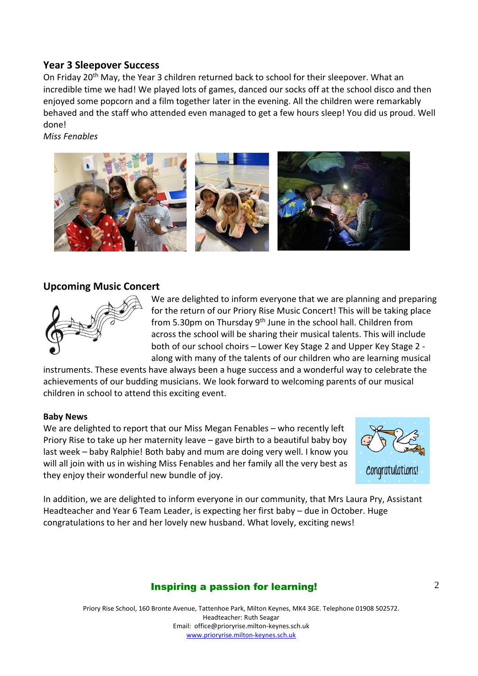## **Year 3 Sleepover Success**

On Friday 20<sup>th</sup> May, the Year 3 children returned back to school for their sleepover. What an incredible time we had! We played lots of games, danced our socks off at the school disco and then enjoyed some popcorn and a film together later in the evening. All the children were remarkably behaved and the staff who attended even managed to get a few hours sleep! You did us proud. Well done!

*Miss Fenables*



## **Upcoming Music Concert**



We are delighted to inform everyone that we are planning and preparing for the return of our Priory Rise Music Concert! This will be taking place from 5.30pm on Thursday  $9<sup>th</sup>$  June in the school hall. Children from across the school will be sharing their musical talents. This will include both of our school choirs – Lower Key Stage 2 and Upper Key Stage 2 along with many of the talents of our children who are learning musical

instruments. These events have always been a huge success and a wonderful way to celebrate the achievements of our budding musicians. We look forward to welcoming parents of our musical children in school to attend this exciting event.

### **Baby News**

We are delighted to report that our Miss Megan Fenables – who recently left Priory Rise to take up her maternity leave – gave birth to a beautiful baby boy last week – baby Ralphie! Both baby and mum are doing very well. I know you will all join with us in wishing Miss Fenables and her family all the very best as they enjoy their wonderful new bundle of joy.



In addition, we are delighted to inform everyone in our community, that Mrs Laura Pry, Assistant Headteacher and Year 6 Team Leader, is expecting her first baby – due in October. Huge congratulations to her and her lovely new husband. What lovely, exciting news!

# Inspiring a passion for learning!

Priory Rise School, 160 Bronte Avenue, Tattenhoe Park, Milton Keynes, MK4 3GE. Telephone 01908 502572. Headteacher: Ruth Seagar Email: office@prioryrise.milton-keynes.sch.uk [www.prioryrise.milton-keynes.sch.uk](http://www.prioryrise.milton-keynes.sch.uk/)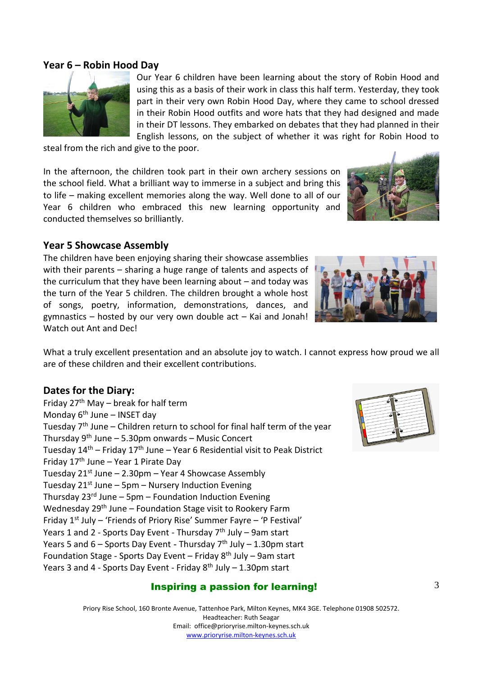# Inspiring a passion for learning!

Priory Rise School, 160 Bronte Avenue, Tattenhoe Park, Milton Keynes, MK4 3GE. Telephone 01908 502572. Headteacher: Ruth Seagar Email: office@prioryrise.milton-keynes.sch.uk [www.prioryrise.milton-keynes.sch.uk](http://www.prioryrise.milton-keynes.sch.uk/)

**Year 6 – Robin Hood Day**

Our Year 6 children have been learning about the story of Robin Hood and using this as a basis of their work in class this half term. Yesterday, they took part in their very own Robin Hood Day, where they came to school dressed in their Robin Hood outfits and wore hats that they had designed and made in their DT lessons. They embarked on debates that they had planned in their English lessons, on the subject of whether it was right for Robin Hood to

steal from the rich and give to the poor.

In the afternoon, the children took part in their own archery sessions on the school field. What a brilliant way to immerse in a subject and bring this to life – making excellent memories along the way. Well done to all of our Year 6 children who embraced this new learning opportunity and conducted themselves so brilliantly.

The children have been enjoying sharing their showcase assemblies with their parents – sharing a huge range of talents and aspects of the curriculum that they have been learning about – and today was the turn of the Year 5 children. The children brought a whole host of songs, poetry, information, demonstrations, dances, and gymnastics – hosted by our very own double act – Kai and Jonah! Watch out Ant and Dec!

What a truly excellent presentation and an absolute joy to watch. I cannot express how proud we all are of these children and their excellent contributions.

## **Dates for the Diary:**

Friday  $27<sup>th</sup>$  May – break for half term Monday  $6<sup>th</sup>$  June – INSET day Tuesday  $7<sup>th</sup>$  June – Children return to school for final half term of the year Thursday 9<sup>th</sup> June – 5.30pm onwards – Music Concer<mark>t</mark> Tuesday  $14<sup>th</sup>$  – Friday  $17<sup>th</sup>$  June – Year 6 Residential visit to Peak District Friday  $17<sup>th</sup>$  June – Year 1 Pirate Day Tuesday  $21^{st}$  June – 2.30pm – Year 4 Showcase Assembly Tuesday  $21^{st}$  June – 5pm – Nursery Induction Evening Thursday 23<sup>rd</sup> June – 5pm – Foundation Induction Evening Wednesday 29<sup>th</sup> June – Foundation Stage visit to Rookery Farm Friday  $1^{st}$  July – 'Friends of Priory Rise' Summer Fayre – 'P Festival' Years 1 and 2 - Sports Day Event - Thursday  $7<sup>th</sup>$  July – 9am start Years 5 and  $6 -$  Sports Day Event - Thursday  $7<sup>th</sup>$  July  $-$  1.30pm start Foundation Stage - Sports Day Event – Friday  $8<sup>th</sup>$  July – 9am start Years 3 and 4 - Sports Day Event - Friday  $8<sup>th</sup>$  July - 1.30pm start

# **Year 5 Showcase Assembly**